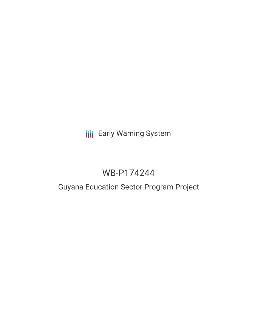# **III** Early Warning System

# WB-P174244

## Guyana Education Sector Program Project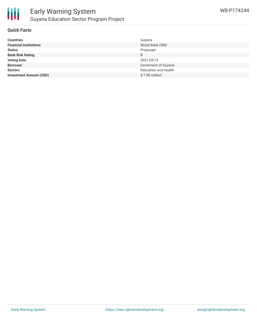

#### **Quick Facts**

| <b>Countries</b>               | Guyana                      |
|--------------------------------|-----------------------------|
| <b>Financial Institutions</b>  | World Bank (WB)             |
| <b>Status</b>                  | Proposed                    |
| <b>Bank Risk Rating</b>        | B                           |
| <b>Voting Date</b>             | 2021-04-15                  |
| <b>Borrower</b>                | Goverment of Guyana         |
| <b>Sectors</b>                 | <b>Education and Health</b> |
| <b>Investment Amount (USD)</b> | $$7.00$ million             |
|                                |                             |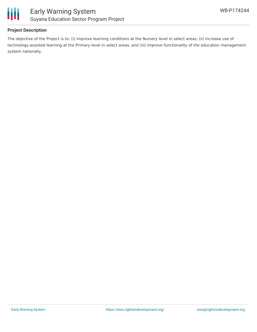

### **Project Description**

The objective of the Project is to: (i) improve learning conditions at the Nursery level in select areas; (ii) increase use of technology-assisted learning at the Primary level in select areas, and (iii) improve functionality of the education management system nationally.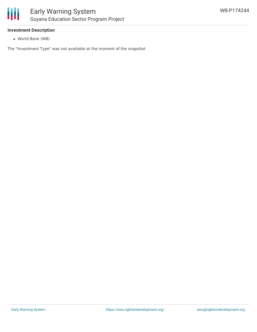

#### **Investment Description**

World Bank (WB)

The "Investment Type" was not available at the moment of the snapshot.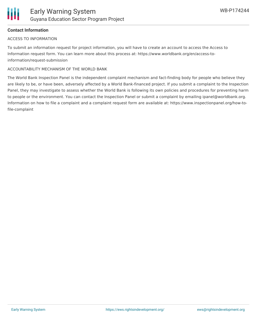### **Contact Information**

#### ACCESS TO INFORMATION

To submit an information request for project information, you will have to create an account to access the Access to Information request form. You can learn more about this process at: https://www.worldbank.org/en/access-toinformation/request-submission

#### ACCOUNTABILITY MECHANISM OF THE WORLD BANK

The World Bank Inspection Panel is the independent complaint mechanism and fact-finding body for people who believe they are likely to be, or have been, adversely affected by a World Bank-financed project. If you submit a complaint to the Inspection Panel, they may investigate to assess whether the World Bank is following its own policies and procedures for preventing harm to people or the environment. You can contact the Inspection Panel or submit a complaint by emailing ipanel@worldbank.org. Information on how to file a complaint and a complaint request form are available at: https://www.inspectionpanel.org/how-tofile-complaint